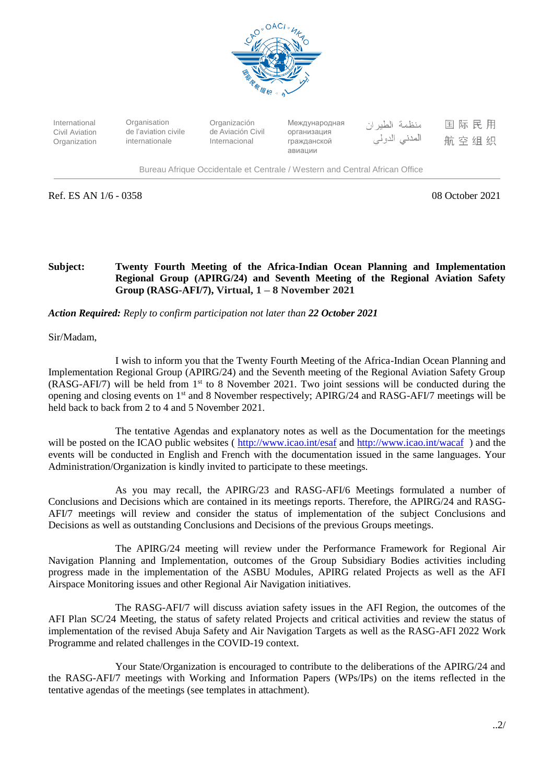

国际民用 International **Organisation** Organización Международная منظمة الطيران Civil Aviation de l'aviation civile de Aviación Civil организация المدني الدولي 航空组织 internationale Internacional Organization гражданской авиации

Bureau Afrique Occidentale et Centrale / Western and Central African Office

Ref. ES AN 1/6 - 0358 08 October 2021

## **Subject: Twenty Fourth Meeting of the Africa-Indian Ocean Planning and Implementation Regional Group (APIRG/24) and Seventh Meeting of the Regional Aviation Safety Group (RASG-AFI/7), Virtual, 1 – 8 November 2021**

*Action Required: Reply to confirm participation not later than 22 October 2021*

Sir/Madam,

I wish to inform you that the Twenty Fourth Meeting of the Africa-Indian Ocean Planning and Implementation Regional Group (APIRG/24) and the Seventh meeting of the Regional Aviation Safety Group (RASG-AFI/7) will be held from 1st to 8 November 2021. Two joint sessions will be conducted during the opening and closing events on 1st and 8 November respectively; APIRG/24 and RASG-AFI/7 meetings will be held back to back from 2 to 4 and 5 November 2021.

The tentative Agendas and explanatory notes as well as the Documentation for the meetings will be posted on the ICAO public websites (<http://www.icao.int/esaf> and<http://www.icao.int/wacaf>) and the events will be conducted in English and French with the documentation issued in the same languages. Your Administration/Organization is kindly invited to participate to these meetings.

As you may recall, the APIRG/23 and RASG-AFI/6 Meetings formulated a number of Conclusions and Decisions which are contained in its meetings reports. Therefore, the APIRG/24 and RASG-AFI/7 meetings will review and consider the status of implementation of the subject Conclusions and Decisions as well as outstanding Conclusions and Decisions of the previous Groups meetings.

The APIRG/24 meeting will review under the Performance Framework for Regional Air Navigation Planning and Implementation, outcomes of the Group Subsidiary Bodies activities including progress made in the implementation of the ASBU Modules, APIRG related Projects as well as the AFI Airspace Monitoring issues and other Regional Air Navigation initiatives.

The RASG-AFI/7 will discuss aviation safety issues in the AFI Region, the outcomes of the AFI Plan SC/24 Meeting, the status of safety related Projects and critical activities and review the status of implementation of the revised Abuja Safety and Air Navigation Targets as well as the RASG-AFI 2022 Work Programme and related challenges in the COVID-19 context.

Your State/Organization is encouraged to contribute to the deliberations of the APIRG/24 and the RASG-AFI/7 meetings with Working and Information Papers (WPs/IPs) on the items reflected in the tentative agendas of the meetings (see templates in attachment).